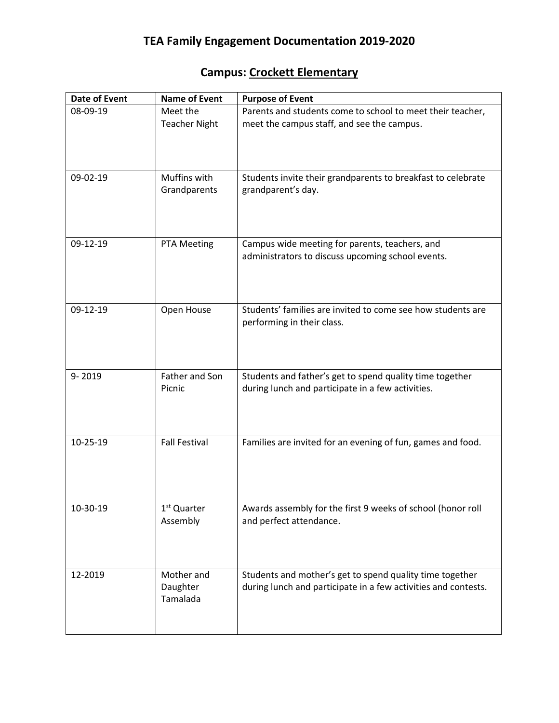## **Campus: Crockett Elementary**

| <b>Date of Event</b> | <b>Name of Event</b>                | <b>Purpose of Event</b>                                                                                                    |
|----------------------|-------------------------------------|----------------------------------------------------------------------------------------------------------------------------|
| 08-09-19             | Meet the<br><b>Teacher Night</b>    | Parents and students come to school to meet their teacher,<br>meet the campus staff, and see the campus.                   |
| 09-02-19             | Muffins with<br>Grandparents        | Students invite their grandparents to breakfast to celebrate<br>grandparent's day.                                         |
| 09-12-19             | PTA Meeting                         | Campus wide meeting for parents, teachers, and<br>administrators to discuss upcoming school events.                        |
| 09-12-19             | Open House                          | Students' families are invited to come see how students are<br>performing in their class.                                  |
| 9-2019               | Father and Son<br>Picnic            | Students and father's get to spend quality time together<br>during lunch and participate in a few activities.              |
| 10-25-19             | <b>Fall Festival</b>                | Families are invited for an evening of fun, games and food.                                                                |
| 10-30-19             | 1 <sup>st</sup> Quarter<br>Assembly | Awards assembly for the first 9 weeks of school (honor roll<br>and perfect attendance.                                     |
| 12-2019              | Mother and<br>Daughter<br>Tamalada  | Students and mother's get to spend quality time together<br>during lunch and participate in a few activities and contests. |